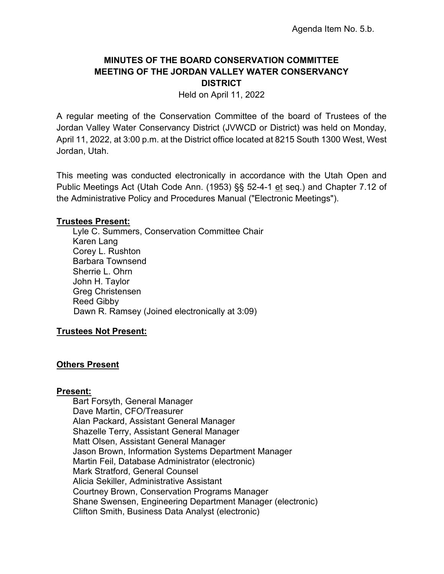# **MINUTES OF THE BOARD CONSERVATION COMMITTEE MEETING OF THE JORDAN VALLEY WATER CONSERVANCY DISTRICT**

Held on April 11, 2022

A regular meeting of the Conservation Committee of the board of Trustees of the Jordan Valley Water Conservancy District (JVWCD or District) was held on Monday, April 11, 2022, at 3:00 p.m. at the District office located at 8215 South 1300 West, West Jordan, Utah.

This meeting was conducted electronically in accordance with the Utah Open and Public Meetings Act (Utah Code Ann. (1953) §§ 52-4-1 et seq.) and Chapter 7.12 of the Administrative Policy and Procedures Manual ("Electronic Meetings").

### **Trustees Present:**

Lyle C. Summers, Conservation Committee Chair Karen Lang Corey L. Rushton Barbara Townsend Sherrie L. Ohrn John H. Taylor Greg Christensen Reed Gibby Dawn R. Ramsey (Joined electronically at 3:09)

### **Trustees Not Present:**

### **Others Present**

### **Present:**

Bart Forsyth, General Manager Dave Martin, CFO/Treasurer Alan Packard, Assistant General Manager Shazelle Terry, Assistant General Manager Matt Olsen, Assistant General Manager Jason Brown, Information Systems Department Manager Martin Feil, Database Administrator (electronic) Mark Stratford, General Counsel Alicia Sekiller, Administrative Assistant Courtney Brown, Conservation Programs Manager Shane Swensen, Engineering Department Manager (electronic) Clifton Smith, Business Data Analyst (electronic)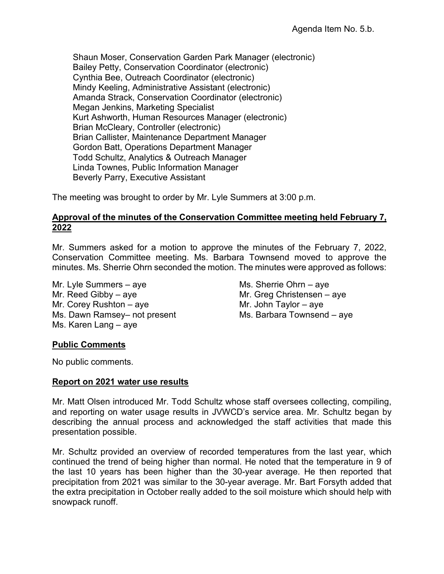Shaun Moser, Conservation Garden Park Manager (electronic) Bailey Petty, Conservation Coordinator (electronic) Cynthia Bee, Outreach Coordinator (electronic) Mindy Keeling, Administrative Assistant (electronic) Amanda Strack, Conservation Coordinator (electronic) Megan Jenkins, Marketing Specialist Kurt Ashworth, Human Resources Manager (electronic) Brian McCleary, Controller (electronic) Brian Callister, Maintenance Department Manager Gordon Batt, Operations Department Manager Todd Schultz, Analytics & Outreach Manager Linda Townes, Public Information Manager Beverly Parry, Executive Assistant

The meeting was brought to order by Mr. Lyle Summers at 3:00 p.m.

### **Approval of the minutes of the Conservation Committee meeting held February 7, 2022**

Mr. Summers asked for a motion to approve the minutes of the February 7, 2022, Conservation Committee meeting. Ms. Barbara Townsend moved to approve the minutes. Ms. Sherrie Ohrn seconded the motion. The minutes were approved as follows:

Mr. Lyle Summers – aye Mr. Sherrie Ohrn – aye Mr. Reed Gibby – aye  $Mr$ . Greg Christensen – aye Mr. Corey Rushton – aye  $Mr$ . John Taylor – aye Ms. Dawn Ramsey– not present Ms. Barbara Townsend – aye Ms. Karen Lang – aye

# **Public Comments**

No public comments.

### **Report on 2021 water use results**

Mr. Matt Olsen introduced Mr. Todd Schultz whose staff oversees collecting, compiling, and reporting on water usage results in JVWCD's service area. Mr. Schultz began by describing the annual process and acknowledged the staff activities that made this presentation possible.

Mr. Schultz provided an overview of recorded temperatures from the last year, which continued the trend of being higher than normal. He noted that the temperature in 9 of the last 10 years has been higher than the 30-year average. He then reported that precipitation from 2021 was similar to the 30-year average. Mr. Bart Forsyth added that the extra precipitation in October really added to the soil moisture which should help with snowpack runoff.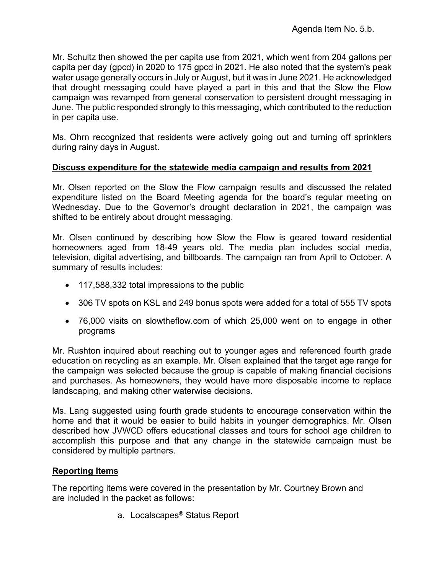Mr. Schultz then showed the per capita use from 2021, which went from 204 gallons per capita per day (gpcd) in 2020 to 175 gpcd in 2021. He also noted that the system's peak water usage generally occurs in July or August, but it was in June 2021. He acknowledged that drought messaging could have played a part in this and that the Slow the Flow campaign was revamped from general conservation to persistent drought messaging in June. The public responded strongly to this messaging, which contributed to the reduction in per capita use.

Ms. Ohrn recognized that residents were actively going out and turning off sprinklers during rainy days in August.

### **Discuss expenditure for the statewide media campaign and results from 2021**

Mr. Olsen reported on the Slow the Flow campaign results and discussed the related expenditure listed on the Board Meeting agenda for the board's regular meeting on Wednesday. Due to the Governor's drought declaration in 2021, the campaign was shifted to be entirely about drought messaging.

Mr. Olsen continued by describing how Slow the Flow is geared toward residential homeowners aged from 18-49 years old. The media plan includes social media, television, digital advertising, and billboards. The campaign ran from April to October. A summary of results includes:

- 117,588,332 total impressions to the public
- 306 TV spots on KSL and 249 bonus spots were added for a total of 555 TV spots
- 76,000 visits on slowtheflow.com of which 25,000 went on to engage in other programs

Mr. Rushton inquired about reaching out to younger ages and referenced fourth grade education on recycling as an example. Mr. Olsen explained that the target age range for the campaign was selected because the group is capable of making financial decisions and purchases. As homeowners, they would have more disposable income to replace landscaping, and making other waterwise decisions.

Ms. Lang suggested using fourth grade students to encourage conservation within the home and that it would be easier to build habits in younger demographics. Mr. Olsen described how JVWCD offers educational classes and tours for school age children to accomplish this purpose and that any change in the statewide campaign must be considered by multiple partners.

### **Reporting Items**

The reporting items were covered in the presentation by Mr. Courtney Brown and are included in the packet as follows:

a. Localscapes® Status Report